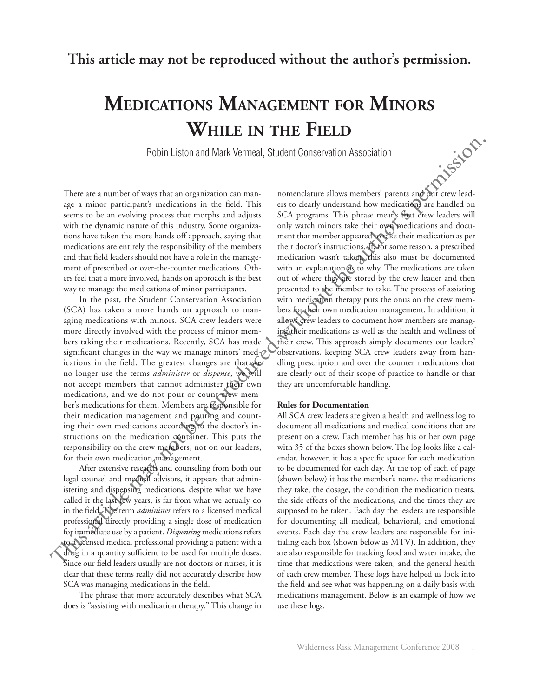## **Medications Management for Minors While in the Field**

Robin Liston and Mark Vermeal, Student Conservation Association

There are a number of ways that an organization can manage a minor participant's medications in the field. This seems to be an evolving process that morphs and adjusts with the dynamic nature of this industry. Some organizations have taken the more hands off approach, saying that medications are entirely the responsibility of the members and that field leaders should not have a role in the management of prescribed or over-the-counter medications. Others feel that a more involved, hands on approach is the best way to manage the medications of minor participants.

In the past, the Student Conservation Association (SCA) has taken a more hands on approach to managing medications with minors. SCA crew leaders were more directly involved with the process of minor members taking their medications. Recently, SCA has made significant changes in the way we manage minors' medications in the field. The greatest changes are that we no longer use the terms *administer* or *dispense*, we will not accept members that cannot administer their own medications, and we do not pour or count crew member's medications for them. Members are responsible for their medication management and pouring and counting their own medications according to the doctor's instructions on the medication container. This puts the responsibility on the crew members, not on our leaders, for their own medication management.

After extensive research and counseling from both our legal counsel and medical advisors, it appears that administering and dispensing medications, despite what we have called it the last few years, is far from what we actually do in the field. The term *administer* refers to a licensed medical professional directly providing a single dose of medication for immediate use by a patient. *Dispensing* medications refers to a licensed medical professional providing a patient with a drug in a quantity sufficient to be used for multiple doses. Since our field leaders usually are not doctors or nurses, it is clear that these terms really did not accurately describe how SCA was managing medications in the field.

The phrase that more accurately describes what SCA does is "assisting with medication therapy." This change in

nomenclature allows members' parents and our crew leaders to clearly understand how medications are handled on SCA programs. This phrase means that crew leaders will only watch minors take their own medications and document that member appeared to take their medication as per their doctor's instructions. If, for some reason, a prescribed medication wasn't taken, this also must be documented with an explanation as to why. The medications are taken out of where they are stored by the crew leader and then presented to the member to take. The process of assisting with medication therapy puts the onus on the crew members for their own medication management. In addition, it allows crew leaders to document how members are managing their medications as well as the health and wellness of their crew. This approach simply documents our leaders' observations, keeping SCA crew leaders away from handling prescription and over the counter medications that are clearly out of their scope of practice to handle or that they are uncomfortable handling. **Probablic EXA** Internace Mark Vermeal, Student Conservation Association<br>
space a mater particle means of the reproduced with the member of the reproduced with the symmetric matrix<br>of the authority permission and the auth

## **Rules for Documentation**

All SCA crew leaders are given a health and wellness log to document all medications and medical conditions that are present on a crew. Each member has his or her own page with 35 of the boxes shown below. The log looks like a calendar, however, it has a specific space for each medication to be documented for each day. At the top of each of page (shown below) it has the member's name, the medications they take, the dosage, the condition the medication treats, the side effects of the medications, and the times they are supposed to be taken. Each day the leaders are responsible for documenting all medical, behavioral, and emotional events. Each day the crew leaders are responsible for initialing each box (shown below as MTV). In addition, they are also responsible for tracking food and water intake, the time that medications were taken, and the general health of each crew member. These logs have helped us look into the field and see what was happening on a daily basis with medications management. Below is an example of how we use these logs.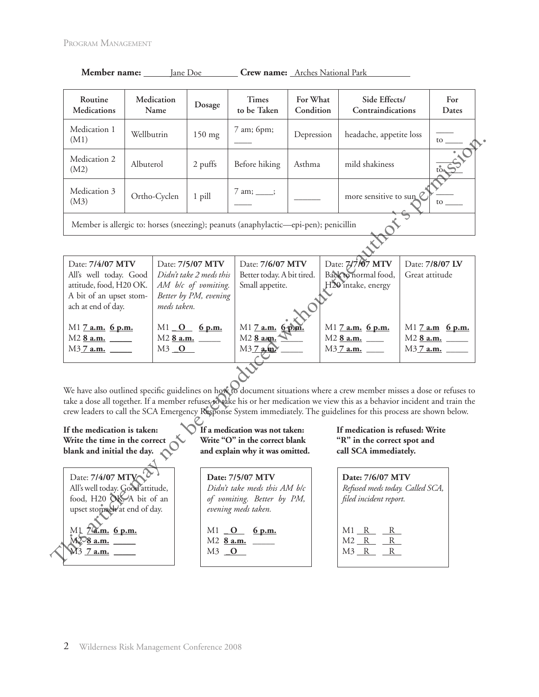| Routine<br><b>Medications</b>                                                        | Medication<br>Name | Dosage   | <b>Times</b><br>to be Taken | For What<br>Condition | Side Effects/<br>Contraindications | For<br>Dates |
|--------------------------------------------------------------------------------------|--------------------|----------|-----------------------------|-----------------------|------------------------------------|--------------|
| Medication 1<br>(M1)                                                                 | Wellbutrin         | $150$ mg | 7 am; 6pm;                  | Depression            | headache, appetite loss            | to to        |
| Medication 2<br>(M2)                                                                 | Albuterol          | 2 puffs  | Before hiking               | Asthma                | mild shakiness                     | to to        |
| Medication 3<br>(M3)                                                                 | Ortho-Cyclen       | 1 pill   | $7 \text{ am}; \qquad ;$    |                       | more sensitive to sun              | to           |
| Member is allergic to: horses (sneezing); peanuts (anaphylactic—epi-pen); penicillin |                    |          |                             |                       |                                    |              |

| Member name: | Jane Doe | <b>Crew name:</b> Arches National Park |
|--------------|----------|----------------------------------------|
|              |          |                                        |

Date: **7/4/07 MTV** All's well today. Good attitude, food, H20 OK. A bit of an upset stomach at end of day. M1 **7 a.m. 6 p.m.** M2 **8 a.m.** \_\_\_\_\_ M3.7 **a.m.** Date: **7/5/07 MTV** *Didn't take 2 meds this AM b/c of vomiting. Better by PM, evening meds taken.* M1 **O** 6 p.m. M2 **8 a.m.** \_\_\_\_\_ M3 **\_O**  Date: **7/6/07 MTV** Better today. A bit tired. Small appetite. M1 **7 a.m. 6 p.m.** M2 **8 a.m.** \_\_\_\_\_ M3 **7 a.m.** \_\_\_\_\_ Date: **7/7/07 MTV** Back to normal food, H20 intake, energy M1 **7 a.m. 6 p.m.** M2 **8 a.m.** \_\_\_\_ M3 **7 a.m. \_\_\_\_** Date: **7/8/07 LV** Great attitude M1 **7 a.m 6 p.m.** M2 **8 a.m.** \_\_\_\_\_ M3 **7 a.m.** \_\_\_\_\_ (MI)<br>
Medication 2<br>
Medication 3<br>
Medication 3<br>
Medication 3<br>
Medication 3<br>
(MI)<br>
Memor setsivive may note the authorities is allege to hones (ancezing): peanus (analylacis--q-i-p-aul; peacillin<br>
Date: 77407 MIV and hole

We have also outlined specific guidelines on how to document situations where a crew member misses a dose or refuses to take a dose all together. If a member refuses to take his or her medication we view this as a behavior incident and train the crew leaders to call the SCA Emergency Response System immediately. The guidelines for this process are shown below.

## **If the medication is taken: Write the time in the correct blank and initial the day.**

Date: **7/4/07 MTV** All's well today. Good attitude, food, H20 OK. A bit of an upset stomach at end of day.

M1 **7 a.m. 6 p.m.** M2 **8 a.m.** \_\_\_\_\_ M3 **7 a.m. \_\_\_\_\_**

**If a medication was not taken: Write "O" in the correct blank and explain why it was omitted.**

**Date: 7/5/07 MTV** *Didn't take meds this AM b/c of vomiting. Better by PM, evening meds taken.*

M1 **\_0** 6 p.m. M2 **8 a.m.** \_\_\_\_\_ M3 **\_O** 

**If medication is refused: Write "R" in the correct spot and call SCA immediately.**

| Date: 7/6/07 MTV<br>Refused meds today. Called SCA,<br>filed incident report. |
|-------------------------------------------------------------------------------|
| M1<br>– R<br>R<br>M <sub>2</sub> R<br>R<br>M <sub>3</sub> R<br>R              |